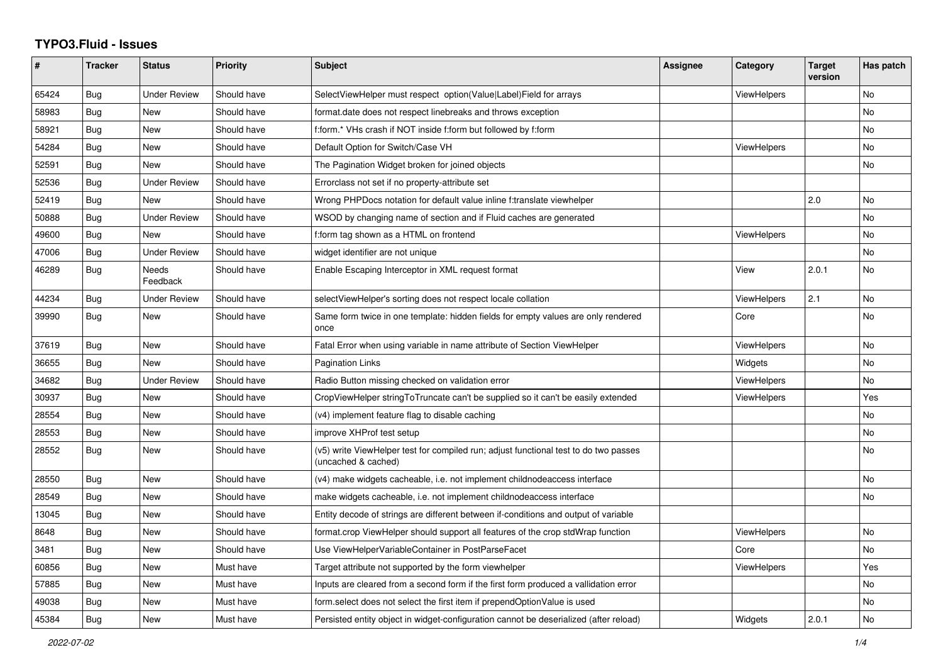## **TYPO3.Fluid - Issues**

| #     | Tracker    | <b>Status</b>            | <b>Priority</b> | Subject                                                                                                     | <b>Assignee</b> | Category           | <b>Target</b><br>version | Has patch |
|-------|------------|--------------------------|-----------------|-------------------------------------------------------------------------------------------------------------|-----------------|--------------------|--------------------------|-----------|
| 65424 | Bug        | <b>Under Review</b>      | Should have     | SelectViewHelper must respect option(Value Label)Field for arrays                                           |                 | <b>ViewHelpers</b> |                          | <b>No</b> |
| 58983 | Bug        | <b>New</b>               | Should have     | format.date does not respect linebreaks and throws exception                                                |                 |                    |                          | <b>No</b> |
| 58921 | Bug        | <b>New</b>               | Should have     | f:form.* VHs crash if NOT inside f:form but followed by f:form                                              |                 |                    |                          | No        |
| 54284 | Bug        | <b>New</b>               | Should have     | Default Option for Switch/Case VH                                                                           |                 | ViewHelpers        |                          | <b>No</b> |
| 52591 | Bug        | New                      | Should have     | The Pagination Widget broken for joined objects                                                             |                 |                    |                          | No        |
| 52536 | <b>Bug</b> | <b>Under Review</b>      | Should have     | Errorclass not set if no property-attribute set                                                             |                 |                    |                          |           |
| 52419 | <b>Bug</b> | <b>New</b>               | Should have     | Wrong PHPDocs notation for default value inline f:translate viewhelper                                      |                 |                    | 2.0                      | <b>No</b> |
| 50888 | Bug        | <b>Under Review</b>      | Should have     | WSOD by changing name of section and if Fluid caches are generated                                          |                 |                    |                          | <b>No</b> |
| 49600 | Bug        | New                      | Should have     | f:form tag shown as a HTML on frontend                                                                      |                 | ViewHelpers        |                          | No        |
| 47006 | Bug        | <b>Under Review</b>      | Should have     | widget identifier are not unique                                                                            |                 |                    |                          | <b>No</b> |
| 46289 | <b>Bug</b> | <b>Needs</b><br>Feedback | Should have     | Enable Escaping Interceptor in XML request format                                                           |                 | View               | 2.0.1                    | No        |
| 44234 | <b>Bug</b> | <b>Under Review</b>      | Should have     | selectViewHelper's sorting does not respect locale collation                                                |                 | ViewHelpers        | 2.1                      | <b>No</b> |
| 39990 | Bug        | New                      | Should have     | Same form twice in one template: hidden fields for empty values are only rendered<br>once                   |                 | Core               |                          | No        |
| 37619 | Bug        | New                      | Should have     | Fatal Error when using variable in name attribute of Section ViewHelper                                     |                 | ViewHelpers        |                          | No        |
| 36655 | Bug        | <b>New</b>               | Should have     | Pagination Links                                                                                            |                 | Widgets            |                          | <b>No</b> |
| 34682 | Bug        | <b>Under Review</b>      | Should have     | Radio Button missing checked on validation error                                                            |                 | <b>ViewHelpers</b> |                          | <b>No</b> |
| 30937 | Bug        | <b>New</b>               | Should have     | CropViewHelper stringToTruncate can't be supplied so it can't be easily extended                            |                 | ViewHelpers        |                          | Yes       |
| 28554 | Bug        | New                      | Should have     | (v4) implement feature flag to disable caching                                                              |                 |                    |                          | No        |
| 28553 | <b>Bug</b> | New                      | Should have     | improve XHProf test setup                                                                                   |                 |                    |                          | No        |
| 28552 | Bug        | <b>New</b>               | Should have     | (v5) write ViewHelper test for compiled run; adjust functional test to do two passes<br>(uncached & cached) |                 |                    |                          | <b>No</b> |
| 28550 | Bug        | New                      | Should have     | (v4) make widgets cacheable, i.e. not implement childnodeaccess interface                                   |                 |                    |                          | <b>No</b> |
| 28549 | Bug        | New                      | Should have     | make widgets cacheable, i.e. not implement childnodeaccess interface                                        |                 |                    |                          | No        |
| 13045 | Bug        | <b>New</b>               | Should have     | Entity decode of strings are different between if-conditions and output of variable                         |                 |                    |                          |           |
| 8648  | Bug        | New                      | Should have     | format.crop ViewHelper should support all features of the crop stdWrap function                             |                 | ViewHelpers        |                          | <b>No</b> |
| 3481  | <b>Bug</b> | <b>New</b>               | Should have     | Use ViewHelperVariableContainer in PostParseFacet                                                           |                 | Core               |                          | <b>No</b> |
| 60856 | Bug        | New                      | Must have       | Target attribute not supported by the form viewhelper                                                       |                 | ViewHelpers        |                          | Yes       |
| 57885 | Bug        | <b>New</b>               | Must have       | Inputs are cleared from a second form if the first form produced a vallidation error                        |                 |                    |                          | No        |
| 49038 | Bug        | <b>New</b>               | Must have       | form.select does not select the first item if prependOptionValue is used                                    |                 |                    |                          | No        |
| 45384 | Bug        | New                      | Must have       | Persisted entity object in widget-configuration cannot be deserialized (after reload)                       |                 | Widgets            | 2.0.1                    | No        |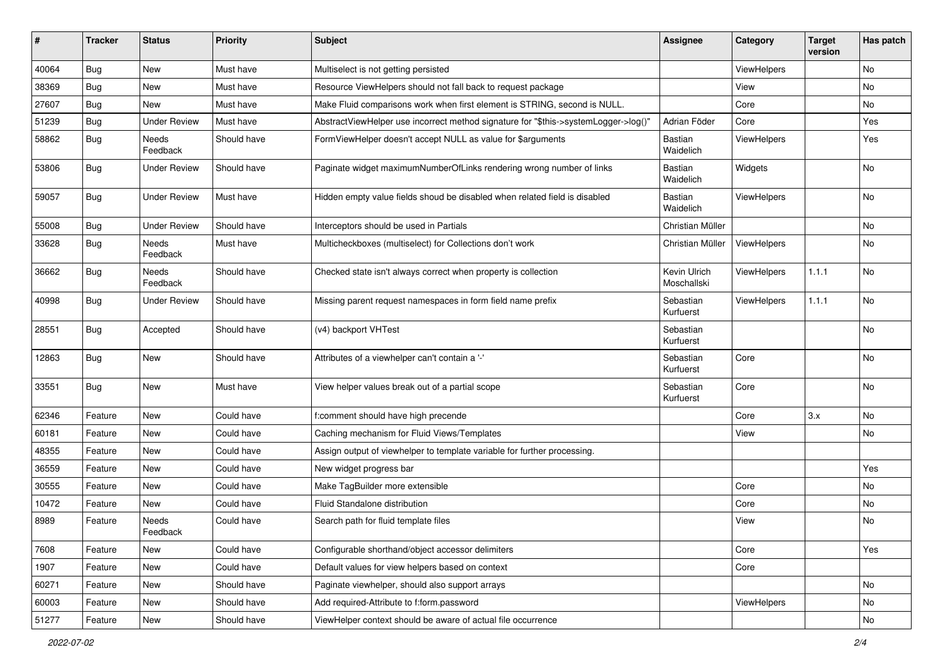| ∦     | <b>Tracker</b> | <b>Status</b>            | <b>Priority</b> | <b>Subject</b>                                                                      | <b>Assignee</b>             | Category    | <b>Target</b><br>version | Has patch |
|-------|----------------|--------------------------|-----------------|-------------------------------------------------------------------------------------|-----------------------------|-------------|--------------------------|-----------|
| 40064 | Bug            | New                      | Must have       | Multiselect is not getting persisted                                                |                             | ViewHelpers |                          | No        |
| 38369 | Bug            | New                      | Must have       | Resource ViewHelpers should not fall back to request package                        |                             | View        |                          | No        |
| 27607 | Bug            | New                      | Must have       | Make Fluid comparisons work when first element is STRING, second is NULL.           |                             | Core        |                          | No        |
| 51239 | Bug            | <b>Under Review</b>      | Must have       | AbstractViewHelper use incorrect method signature for "\$this->systemLogger->log()" | Adrian Föder                | Core        |                          | Yes       |
| 58862 | <b>Bug</b>     | Needs<br>Feedback        | Should have     | FormViewHelper doesn't accept NULL as value for \$arguments                         | Bastian<br>Waidelich        | ViewHelpers |                          | Yes       |
| 53806 | Bug            | <b>Under Review</b>      | Should have     | Paginate widget maximumNumberOfLinks rendering wrong number of links                | <b>Bastian</b><br>Waidelich | Widgets     |                          | No        |
| 59057 | <b>Bug</b>     | <b>Under Review</b>      | Must have       | Hidden empty value fields shoud be disabled when related field is disabled          | Bastian<br>Waidelich        | ViewHelpers |                          | No        |
| 55008 | Bug            | <b>Under Review</b>      | Should have     | Interceptors should be used in Partials                                             | Christian Müller            |             |                          | No        |
| 33628 | Bug            | <b>Needs</b><br>Feedback | Must have       | Multicheckboxes (multiselect) for Collections don't work                            | Christian Müller            | ViewHelpers |                          | No        |
| 36662 | Bug            | Needs<br>Feedback        | Should have     | Checked state isn't always correct when property is collection                      | Kevin Ulrich<br>Moschallski | ViewHelpers | 1.1.1                    | No        |
| 40998 | Bug            | <b>Under Review</b>      | Should have     | Missing parent request namespaces in form field name prefix                         | Sebastian<br>Kurfuerst      | ViewHelpers | 1.1.1                    | No        |
| 28551 | Bug            | Accepted                 | Should have     | (v4) backport VHTest                                                                | Sebastian<br>Kurfuerst      |             |                          | No        |
| 12863 | <b>Bug</b>     | New                      | Should have     | Attributes of a viewhelper can't contain a '-'                                      | Sebastian<br>Kurfuerst      | Core        |                          | No        |
| 33551 | Bug            | New                      | Must have       | View helper values break out of a partial scope                                     | Sebastian<br>Kurfuerst      | Core        |                          | No        |
| 62346 | Feature        | <b>New</b>               | Could have      | f:comment should have high precende                                                 |                             | Core        | 3.x                      | <b>No</b> |
| 60181 | Feature        | New                      | Could have      | Caching mechanism for Fluid Views/Templates                                         |                             | View        |                          | No        |
| 48355 | Feature        | New                      | Could have      | Assign output of viewhelper to template variable for further processing.            |                             |             |                          |           |
| 36559 | Feature        | New                      | Could have      | New widget progress bar                                                             |                             |             |                          | Yes       |
| 30555 | Feature        | New                      | Could have      | Make TagBuilder more extensible                                                     |                             | Core        |                          | No        |
| 10472 | Feature        | New                      | Could have      | Fluid Standalone distribution                                                       |                             | Core        |                          | No        |
| 8989  | Feature        | Needs<br>Feedback        | Could have      | Search path for fluid template files                                                |                             | View        |                          | No        |
| 7608  | Feature        | New                      | Could have      | Configurable shorthand/object accessor delimiters                                   |                             | Core        |                          | Yes       |
| 1907  | Feature        | New                      | Could have      | Default values for view helpers based on context                                    |                             | Core        |                          |           |
| 60271 | Feature        | New                      | Should have     | Paginate viewhelper, should also support arrays                                     |                             |             |                          | No        |
| 60003 | Feature        | New                      | Should have     | Add required-Attribute to f:form.password                                           |                             | ViewHelpers |                          | No        |
| 51277 | Feature        | New                      | Should have     | ViewHelper context should be aware of actual file occurrence                        |                             |             |                          | No        |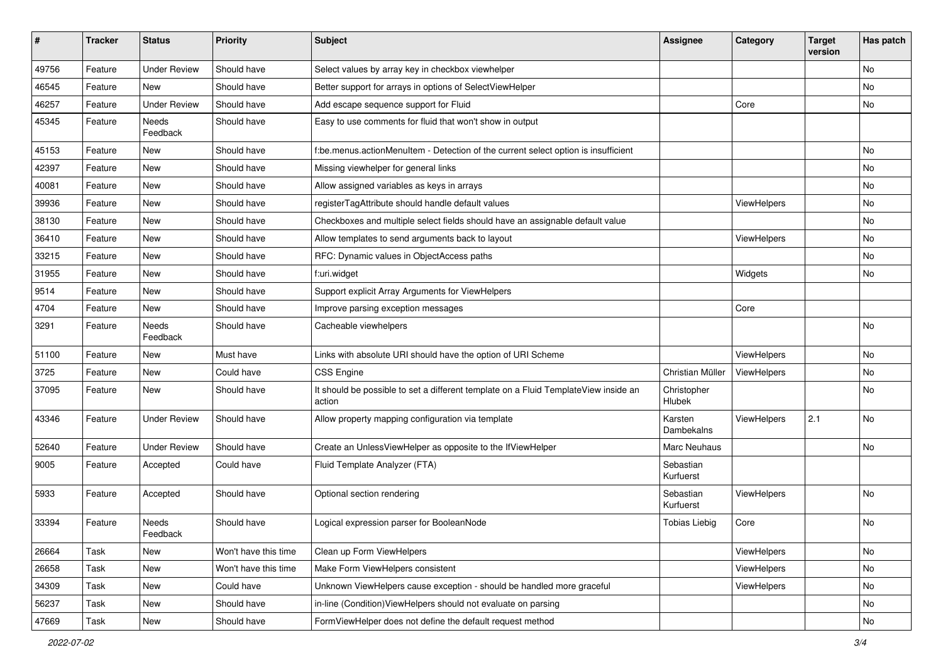| #     | <b>Tracker</b> | <b>Status</b>       | <b>Priority</b>      | <b>Subject</b>                                                                                | <b>Assignee</b>        | Category    | <b>Target</b><br>version | Has patch |
|-------|----------------|---------------------|----------------------|-----------------------------------------------------------------------------------------------|------------------------|-------------|--------------------------|-----------|
| 49756 | Feature        | <b>Under Review</b> | Should have          | Select values by array key in checkbox viewhelper                                             |                        |             |                          | <b>No</b> |
| 46545 | Feature        | New                 | Should have          | Better support for arrays in options of SelectViewHelper                                      |                        |             |                          | No        |
| 46257 | Feature        | <b>Under Review</b> | Should have          | Add escape sequence support for Fluid                                                         |                        | Core        |                          | No        |
| 45345 | Feature        | Needs<br>Feedback   | Should have          | Easy to use comments for fluid that won't show in output                                      |                        |             |                          |           |
| 45153 | Feature        | New                 | Should have          | f:be.menus.actionMenuItem - Detection of the current select option is insufficient            |                        |             |                          | <b>No</b> |
| 42397 | Feature        | New                 | Should have          | Missing viewhelper for general links                                                          |                        |             |                          | No        |
| 40081 | Feature        | New                 | Should have          | Allow assigned variables as keys in arrays                                                    |                        |             |                          | No        |
| 39936 | Feature        | New                 | Should have          | registerTagAttribute should handle default values                                             |                        | ViewHelpers |                          | No        |
| 38130 | Feature        | New                 | Should have          | Checkboxes and multiple select fields should have an assignable default value                 |                        |             |                          | No        |
| 36410 | Feature        | New                 | Should have          | Allow templates to send arguments back to layout                                              |                        | ViewHelpers |                          | No        |
| 33215 | Feature        | New                 | Should have          | RFC: Dynamic values in ObjectAccess paths                                                     |                        |             |                          | No        |
| 31955 | Feature        | New                 | Should have          | f:uri.widget                                                                                  |                        | Widgets     |                          | No        |
| 9514  | Feature        | New                 | Should have          | Support explicit Array Arguments for ViewHelpers                                              |                        |             |                          |           |
| 4704  | Feature        | New                 | Should have          | Improve parsing exception messages                                                            |                        | Core        |                          |           |
| 3291  | Feature        | Needs<br>Feedback   | Should have          | Cacheable viewhelpers                                                                         |                        |             |                          | No        |
| 51100 | Feature        | New                 | Must have            | Links with absolute URI should have the option of URI Scheme                                  |                        | ViewHelpers |                          | No        |
| 3725  | Feature        | New                 | Could have           | <b>CSS Engine</b>                                                                             | Christian Müller       | ViewHelpers |                          | <b>No</b> |
| 37095 | Feature        | New                 | Should have          | It should be possible to set a different template on a Fluid TemplateView inside an<br>action | Christopher<br>Hlubek  |             |                          | No        |
| 43346 | Feature        | <b>Under Review</b> | Should have          | Allow property mapping configuration via template                                             | Karsten<br>Dambekalns  | ViewHelpers | 2.1                      | No        |
| 52640 | Feature        | <b>Under Review</b> | Should have          | Create an UnlessViewHelper as opposite to the IfViewHelper                                    | Marc Neuhaus           |             |                          | No        |
| 9005  | Feature        | Accepted            | Could have           | Fluid Template Analyzer (FTA)                                                                 | Sebastian<br>Kurfuerst |             |                          |           |
| 5933  | Feature        | Accepted            | Should have          | Optional section rendering                                                                    | Sebastian<br>Kurfuerst | ViewHelpers |                          | <b>No</b> |
| 33394 | Feature        | Needs<br>Feedback   | Should have          | Logical expression parser for BooleanNode                                                     | <b>Tobias Liebig</b>   | Core        |                          | No        |
| 26664 | Task           | New                 | Won't have this time | Clean up Form ViewHelpers                                                                     |                        | ViewHelpers |                          | No        |
| 26658 | Task           | New                 | Won't have this time | Make Form ViewHelpers consistent                                                              |                        | ViewHelpers |                          | No        |
| 34309 | Task           | New                 | Could have           | Unknown ViewHelpers cause exception - should be handled more graceful                         |                        | ViewHelpers |                          | No        |
| 56237 | Task           | New                 | Should have          | in-line (Condition) View Helpers should not evaluate on parsing                               |                        |             |                          | No        |
| 47669 | Task           | New                 | Should have          | FormViewHelper does not define the default request method                                     |                        |             |                          | No        |